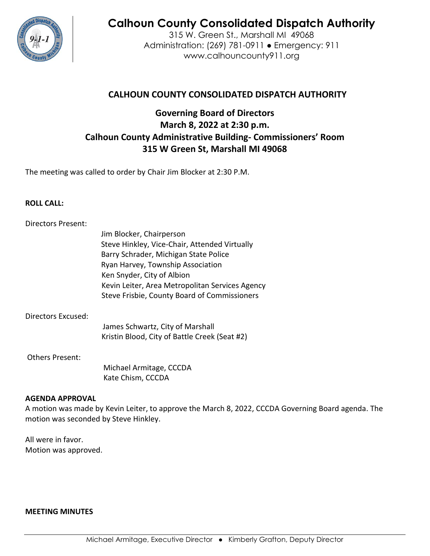

# **Calhoun County Consolidated Dispatch Authority**

315 W. Green St., Marshall MI 49068 Administration: (269) 781-0911 ● Emergency: 911 www.calhouncounty911.org

# **CALHOUN COUNTY CONSOLIDATED DISPATCH AUTHORITY**

# **Governing Board of Directors March 8, 2022 at 2:30 p.m. Calhoun County Administrative Building- Commissioners' Room 315 W Green St, Marshall MI 49068**

The meeting was called to order by Chair Jim Blocker at 2:30 P.M.

# **ROLL CALL:**

# Directors Present: Jim Blocker, Chairperson Steve Hinkley, Vice-Chair, Attended Virtually Barry Schrader, Michigan State Police Ryan Harvey, Township Association Ken Snyder, City of Albion Kevin Leiter, Area Metropolitan Services Agency Steve Frisbie, County Board of Commissioners

# Directors Excused:

James Schwartz, City of Marshall Kristin Blood, City of Battle Creek (Seat #2)

# Others Present:

 Michael Armitage, CCCDA Kate Chism, CCCDA

#### **AGENDA APPROVAL**

A motion was made by Kevin Leiter, to approve the March 8, 2022, CCCDA Governing Board agenda. The motion was seconded by Steve Hinkley.

All were in favor. Motion was approved.

#### **MEETING MINUTES**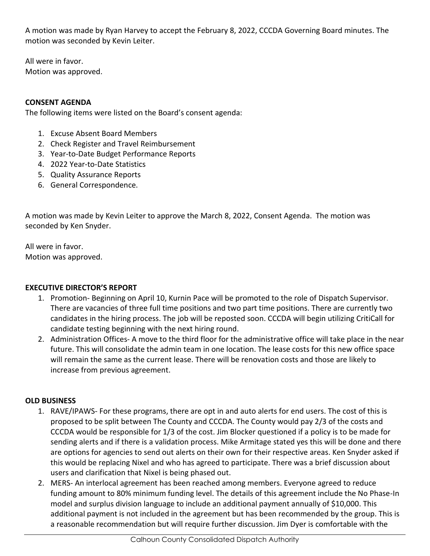A motion was made by Ryan Harvey to accept the February 8, 2022, CCCDA Governing Board minutes. The motion was seconded by Kevin Leiter.

All were in favor. Motion was approved.

# **CONSENT AGENDA**

The following items were listed on the Board's consent agenda:

- 1. Excuse Absent Board Members
- 2. Check Register and Travel Reimbursement
- 3. Year-to-Date Budget Performance Reports
- 4. 2022 Year-to-Date Statistics
- 5. Quality Assurance Reports
- 6. General Correspondence.

A motion was made by Kevin Leiter to approve the March 8, 2022, Consent Agenda. The motion was seconded by Ken Snyder.

All were in favor. Motion was approved.

# **EXECUTIVE DIRECTOR'S REPORT**

- 1. Promotion- Beginning on April 10, Kurnin Pace will be promoted to the role of Dispatch Supervisor. There are vacancies of three full time positions and two part time positions. There are currently two candidates in the hiring process. The job will be reposted soon. CCCDA will begin utilizing CritiCall for candidate testing beginning with the next hiring round.
- 2. Administration Offices- A move to the third floor for the administrative office will take place in the near future. This will consolidate the admin team in one location. The lease costs for this new office space will remain the same as the current lease. There will be renovation costs and those are likely to increase from previous agreement.

# **OLD BUSINESS**

- 1. RAVE/IPAWS- For these programs, there are opt in and auto alerts for end users. The cost of this is proposed to be split between The County and CCCDA. The County would pay 2/3 of the costs and CCCDA would be responsible for 1/3 of the cost. Jim Blocker questioned if a policy is to be made for sending alerts and if there is a validation process. Mike Armitage stated yes this will be done and there are options for agencies to send out alerts on their own for their respective areas. Ken Snyder asked if this would be replacing Nixel and who has agreed to participate. There was a brief discussion about users and clarification that Nixel is being phased out.
- 2. MERS- An interlocal agreement has been reached among members. Everyone agreed to reduce funding amount to 80% minimum funding level. The details of this agreement include the No Phase-In model and surplus division language to include an additional payment annually of \$10,000. This additional payment is not included in the agreement but has been recommended by the group. This is a reasonable recommendation but will require further discussion. Jim Dyer is comfortable with the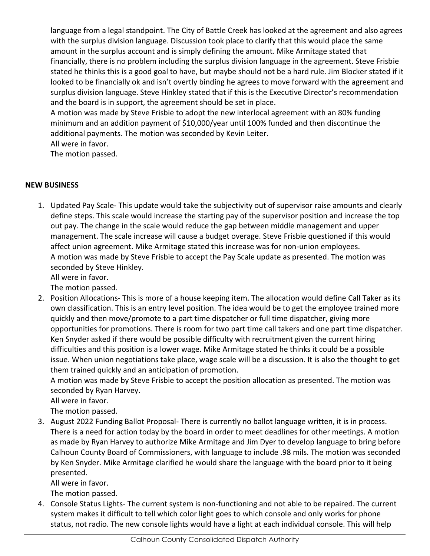language from a legal standpoint. The City of Battle Creek has looked at the agreement and also agrees with the surplus division language. Discussion took place to clarify that this would place the same amount in the surplus account and is simply defining the amount. Mike Armitage stated that financially, there is no problem including the surplus division language in the agreement. Steve Frisbie stated he thinks this is a good goal to have, but maybe should not be a hard rule. Jim Blocker stated if it looked to be financially ok and isn't overtly binding he agrees to move forward with the agreement and surplus division language. Steve Hinkley stated that if this is the Executive Director's recommendation and the board is in support, the agreement should be set in place.

A motion was made by Steve Frisbie to adopt the new interlocal agreement with an 80% funding minimum and an addition payment of \$10,000/year until 100% funded and then discontinue the additional payments. The motion was seconded by Kevin Leiter.

All were in favor.

The motion passed.

# **NEW BUSINESS**

1. Updated Pay Scale- This update would take the subjectivity out of supervisor raise amounts and clearly define steps. This scale would increase the starting pay of the supervisor position and increase the top out pay. The change in the scale would reduce the gap between middle management and upper management. The scale increase will cause a budget overage. Steve Frisbie questioned if this would affect union agreement. Mike Armitage stated this increase was for non-union employees. A motion was made by Steve Frisbie to accept the Pay Scale update as presented. The motion was seconded by Steve Hinkley.

All were in favor.

The motion passed.

2. Position Allocations- This is more of a house keeping item. The allocation would define Call Taker as its own classification. This is an entry level position. The idea would be to get the employee trained more quickly and then move/promote to a part time dispatcher or full time dispatcher, giving more opportunities for promotions. There is room for two part time call takers and one part time dispatcher. Ken Snyder asked if there would be possible difficulty with recruitment given the current hiring difficulties and this position is a lower wage. Mike Armitage stated he thinks it could be a possible issue. When union negotiations take place, wage scale will be a discussion. It is also the thought to get them trained quickly and an anticipation of promotion.

A motion was made by Steve Frisbie to accept the position allocation as presented. The motion was seconded by Ryan Harvey.

All were in favor.

The motion passed.

3. August 2022 Funding Ballot Proposal- There is currently no ballot language written, it is in process. There is a need for action today by the board in order to meet deadlines for other meetings. A motion as made by Ryan Harvey to authorize Mike Armitage and Jim Dyer to develop language to bring before Calhoun County Board of Commissioners, with language to include .98 mils. The motion was seconded by Ken Snyder. Mike Armitage clarified he would share the language with the board prior to it being presented.

All were in favor.

The motion passed.

4. Console Status Lights- The current system is non-functioning and not able to be repaired. The current system makes it difficult to tell which color light goes to which console and only works for phone status, not radio. The new console lights would have a light at each individual console. This will help